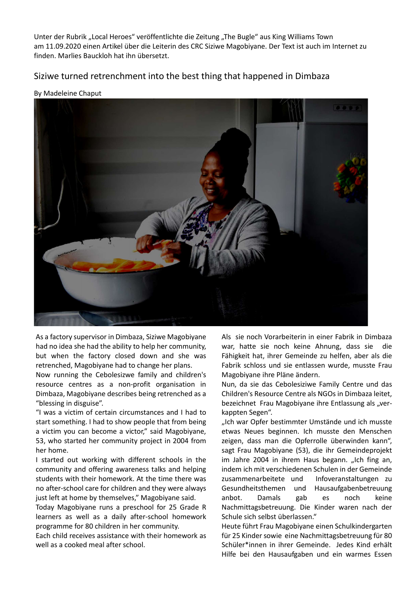Unter der Rubrik "Local Heroes" veröffentlichte die Zeitung "The Bugle" aus King Williams Town am 11.09.2020 einen Artikel über die Leiterin des CRC Siziwe Magobiyane. Der Text ist auch im Internet zu finden. Marlies Bauckloh hat ihn übersetzt.

## Siziwe turned retrenchment into the best thing that happened in Dimbaza

## By Madeleine Chaput



As a factory supervisor in Dimbaza, Siziwe Magobiyane had no idea she had the ability to help her community, but when the factory closed down and she was retrenched, Magobiyane had to change her plans.

Now running the Cebolesizwe family and children's resource centres as a non-profit organisation in Dimbaza, Magobiyane describes being retrenched as a "blessing in disguise".

"I was a victim of certain circumstances and I had to start something. I had to show people that from being a victim you can become a victor," said Magobiyane, 53, who started her community project in 2004 from her home.

I started out working with different schools in the community and offering awareness talks and helping students with their homework. At the time there was no after-school care for children and they were always just left at home by themselves," Magobiyane said.

Today Magobiyane runs a preschool for 25 Grade R learners as well as a daily after-school homework programme for 80 children in her community.

Each child receives assistance with their homework as well as a cooked meal after school.

Als sie noch Vorarbeiterin in einer Fabrik in Dimbaza war, hatte sie noch keine Ahnung, dass sie die Fähigkeit hat, ihrer Gemeinde zu helfen, aber als die Fabrik schloss und sie entlassen wurde, musste Frau Magobiyane ihre Pläne ändern.

Nun, da sie das Cebolesiziwe Family Centre und das Children's Resource Centre als NGOs in Dimbaza leitet, bezeichnet Frau Magobiyane ihre Entlassung als "verkappten Segen".

"Ich war Opfer bestimmter Umstände und ich musste etwas Neues beginnen. Ich musste den Menschen zeigen, dass man die Opferrolle überwinden kann", sagt Frau Magobiyane (53), die ihr Gemeindeprojekt im Jahre 2004 in ihrem Haus begann. "Ich fing an, indem ich mit verschiedenen Schulen in der Gemeinde zusammenarbeitete und Infoveranstaltungen zu Gesundheitsthemen und Hausaufgabenbetreuung anbot. Damals gab es noch keine Nachmittagsbetreuung. Die Kinder waren nach der Schule sich selbst überlassen."

Heute führt Frau Magobiyane einen Schulkindergarten für 25 Kinder sowie eine Nachmittagsbetreuung für 80 Schüler\*innen in ihrer Gemeinde. Jedes Kind erhält Hilfe bei den Hausaufgaben und ein warmes Essen